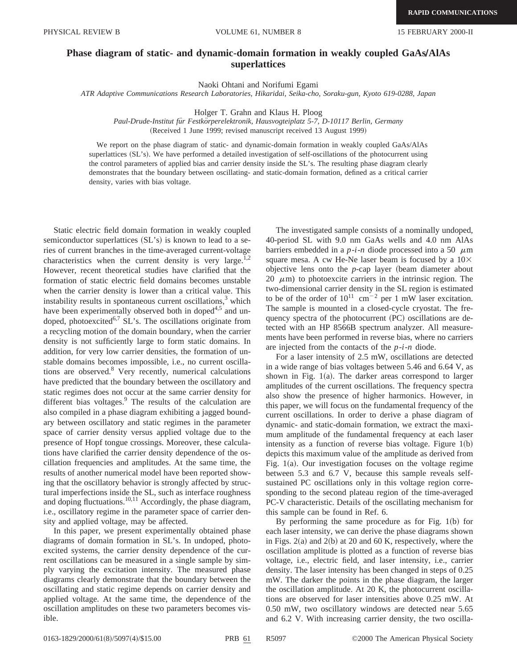PHYSICAL REVIEW B VOLUME 61, NUMBER 8 15 FEBRUARY 2000-II

## **Phase diagram of static- and dynamic-domain formation in weakly coupled GaAs/AlAs superlattices**

Naoki Ohtani and Norifumi Egami

*ATR Adaptive Communications Research Laboratories, Hikaridai, Seika-cho, Soraku-gun, Kyoto 619-0288, Japan*

Holger T. Grahn and Klaus H. Ploog

Paul-Drude-Institut für Festkörperelektronik, Hausvogteiplatz 5-7, D-10117 Berlin, Germany (Received 1 June 1999; revised manuscript received 13 August 1999)

We report on the phase diagram of static- and dynamic-domain formation in weakly coupled GaAs/AlAs superlattices (SL's). We have performed a detailed investigation of self-oscillations of the photocurrent using the control parameters of applied bias and carrier density inside the SL's. The resulting phase diagram clearly demonstrates that the boundary between oscillating- and static-domain formation, defined as a critical carrier density, varies with bias voltage.

Static electric field domain formation in weakly coupled semiconductor superlattices  $(SL's)$  is known to lead to a series of current branches in the time-averaged current-voltage characteristics when the current density is very large.<sup>1,2</sup> However, recent theoretical studies have clarified that the formation of static electric field domains becomes unstable when the carrier density is lower than a critical value. This instability results in spontaneous current oscillations, $3$  which have been experimentally observed both in doped $4.5$  and undoped, photoexcited<sup>6,7</sup> SL's. The oscillations originate from a recycling motion of the domain boundary, when the carrier density is not sufficiently large to form static domains. In addition, for very low carrier densities, the formation of unstable domains becomes impossible, i.e., no current oscillations are observed.8 Very recently, numerical calculations have predicted that the boundary between the oscillatory and static regimes does not occur at the same carrier density for different bias voltages.<sup>9</sup> The results of the calculation are also compiled in a phase diagram exhibiting a jagged boundary between oscillatory and static regimes in the parameter space of carrier density versus applied voltage due to the presence of Hopf tongue crossings. Moreover, these calculations have clarified the carrier density dependence of the oscillation frequencies and amplitudes. At the same time, the results of another numerical model have been reported showing that the oscillatory behavior is strongly affected by structural imperfections inside the SL, such as interface roughness and doping fluctuations.<sup>10,11</sup> Accordingly, the phase diagram, i.e., oscillatory regime in the parameter space of carrier density and applied voltage, may be affected.

In this paper, we present experimentally obtained phase diagrams of domain formation in SL's. In undoped, photoexcited systems, the carrier density dependence of the current oscillations can be measured in a single sample by simply varying the excitation intensity. The measured phase diagrams clearly demonstrate that the boundary between the oscillating and static regime depends on carrier density and applied voltage. At the same time, the dependence of the oscillation amplitudes on these two parameters becomes visible.

The investigated sample consists of a nominally undoped, 40-period SL with 9.0 nm GaAs wells and 4.0 nm AlAs barriers embedded in a  $p-i-n$  diode processed into a 50  $\mu$ m square mesa. A cw He-Ne laser beam is focused by a  $10\times$ objective lens onto the  $p$ -cap layer (beam diameter about 20  $\mu$ m) to photoexcite carriers in the intrinsic region. The two-dimensional carrier density in the SL region is estimated to be of the order of  $10^{11}$  cm<sup>-2</sup> per 1 mW laser excitation. The sample is mounted in a closed-cycle cryostat. The frequency spectra of the photocurrent  $(PC)$  oscillations are detected with an HP 8566B spectrum analyzer. All measurements have been performed in reverse bias, where no carriers are injected from the contacts of the *p*-*i*-*n* diode.

For a laser intensity of 2.5 mW, oscillations are detected in a wide range of bias voltages between 5.46 and 6.64 V, as shown in Fig.  $1(a)$ . The darker areas correspond to larger amplitudes of the current oscillations. The frequency spectra also show the presence of higher harmonics. However, in this paper, we will focus on the fundamental frequency of the current oscillations. In order to derive a phase diagram of dynamic- and static-domain formation, we extract the maximum amplitude of the fundamental frequency at each laser intensity as a function of reverse bias voltage. Figure  $1(b)$ depicts this maximum value of the amplitude as derived from Fig.  $1(a)$ . Our investigation focuses on the voltage regime between 5.3 and 6.7 V, because this sample reveals selfsustained PC oscillations only in this voltage region corresponding to the second plateau region of the time-averaged PC-V characteristic. Details of the oscillating mechanism for this sample can be found in Ref. 6.

By performing the same procedure as for Fig.  $1(b)$  for each laser intensity, we can derive the phase diagrams shown in Figs.  $2(a)$  and  $2(b)$  at 20 and 60 K, respectively, where the oscillation amplitude is plotted as a function of reverse bias voltage, i.e., electric field, and laser intensity, i.e., carrier density. The laser intensity has been changed in steps of 0.25 mW. The darker the points in the phase diagram, the larger the oscillation amplitude. At 20 K, the photocurrent oscillations are observed for laser intensities above 0.25 mW. At 0.50 mW, two oscillatory windows are detected near 5.65 and 6.2 V. With increasing carrier density, the two oscilla-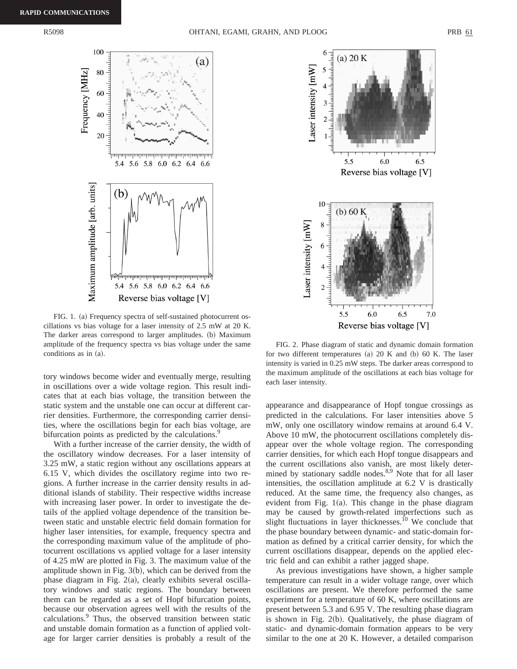

FIG. 1. (a) Frequency spectra of self-sustained photocurrent oscillations vs bias voltage for a laser intensity of 2.5 mW at 20 K. The darker areas correspond to larger amplitudes. (b) Maximum amplitude of the frequency spectra vs bias voltage under the same conditions as in (a).

tory windows become wider and eventually merge, resulting in oscillations over a wide voltage region. This result indicates that at each bias voltage, the transition between the static system and the unstable one can occur at different carrier densities. Furthermore, the corresponding carrier densities, where the oscillations begin for each bias voltage, are bifurcation points as predicted by the calculations.<sup>9</sup>

With a further increase of the carrier density, the width of the oscillatory window decreases. For a laser intensity of 3.25 mW, a static region without any oscillations appears at 6.15 V, which divides the oscillatory regime into two regions. A further increase in the carrier density results in additional islands of stability. Their respective widths increase with increasing laser power. In order to investigate the details of the applied voltage dependence of the transition between static and unstable electric field domain formation for higher laser intensities, for example, frequency spectra and the corresponding maximum value of the amplitude of photocurrent oscillations vs applied voltage for a laser intensity of 4.25 mW are plotted in Fig. 3. The maximum value of the amplitude shown in Fig.  $3(b)$ , which can be derived from the phase diagram in Fig.  $2(a)$ , clearly exhibits several oscillatory windows and static regions. The boundary between them can be regarded as a set of Hopf bifurcation points, because our observation agrees well with the results of the calculations.9 Thus, the observed transition between static and unstable domain formation as a function of applied voltage for larger carrier densities is probably a result of the



FIG. 2. Phase diagram of static and dynamic domain formation for two different temperatures (a)  $20 K$  and (b)  $60 K$ . The laser intensity is varied in 0.25 mW steps. The darker areas correspond to the maximum amplitude of the oscillations at each bias voltage for each laser intensity.

appearance and disappearance of Hopf tongue crossings as predicted in the calculations. For laser intensities above 5 mW, only one oscillatory window remains at around 6.4 V. Above 10 mW, the photocurrent oscillations completely disappear over the whole voltage region. The corresponding carrier densities, for which each Hopf tongue disappears and the current oscillations also vanish, are most likely determined by stationary saddle nodes.<sup>8,9</sup> Note that for all laser intensities, the oscillation amplitude at 6.2 V is drastically reduced. At the same time, the frequency also changes, as evident from Fig.  $1(a)$ . This change in the phase diagram may be caused by growth-related imperfections such as slight fluctuations in layer thicknesses.<sup>10</sup> We conclude that the phase boundary between dynamic- and static-domain formation as defined by a critical carrier density, for which the current oscillations disappear, depends on the applied electric field and can exhibit a rather jagged shape.

As previous investigations have shown, a higher sample temperature can result in a wider voltage range, over which oscillations are present. We therefore performed the same experiment for a temperature of 60 K, where oscillations are present between 5.3 and 6.95 V. The resulting phase diagram is shown in Fig.  $2(b)$ . Qualitatively, the phase diagram of static- and dynamic-domain formation appears to be very similar to the one at 20 K. However, a detailed comparison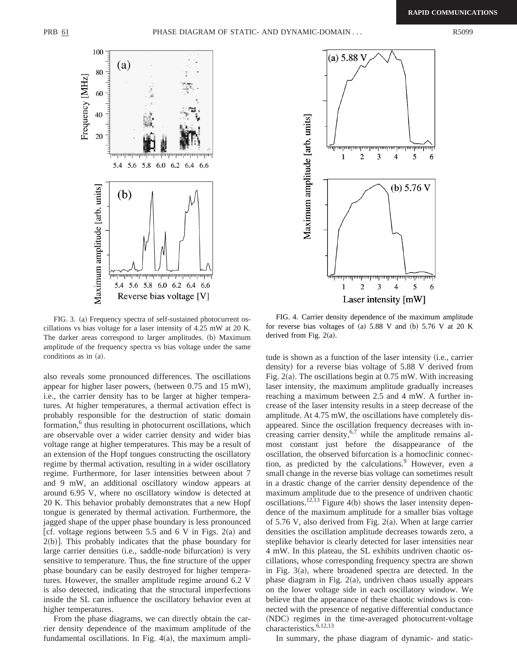

FIG. 3. (a) Frequency spectra of self-sustained photocurrent oscillations vs bias voltage for a laser intensity of 4.25 mW at 20 K. The darker areas correspond to larger amplitudes. (b) Maximum amplitude of the frequency spectra vs bias voltage under the same conditions as in  $(a)$ .

also reveals some pronounced differences. The oscillations appear for higher laser powers, (between  $0.75$  and  $15$  mW), i.e., the carrier density has to be larger at higher temperatures. At higher temperatures, a thermal activation effect is probably responsible for the destruction of static domain formation,<sup>6</sup> thus resulting in photocurrent oscillations, which are observable over a wider carrier density and wider bias voltage range at higher temperatures. This may be a result of an extension of the Hopf tongues constructing the oscillatory regime by thermal activation, resulting in a wider oscillatory regime. Furthermore, for laser intensities between about 7 and 9 mW, an additional oscillatory window appears at around 6.95 V, where no oscillatory window is detected at 20 K. This behavior probably demonstrates that a new Hopf tongue is generated by thermal activation. Furthermore, the jagged shape of the upper phase boundary is less pronounced | cf. voltage regions between 5.5 and 6 V in Figs.  $2(a)$  and  $2(b)$ . This probably indicates that the phase boundary for large carrier densities (i.e., saddle-node bifurcation) is very sensitive to temperature. Thus, the fine structure of the upper phase boundary can be easily destroyed for higher temperatures. However, the smaller amplitude regime around 6.2 V is also detected, indicating that the structural imperfections inside the SL can influence the oscillatory behavior even at higher temperatures.

From the phase diagrams, we can directly obtain the carrier density dependence of the maximum amplitude of the fundamental oscillations. In Fig.  $4(a)$ , the maximum ampli-



FIG. 4. Carrier density dependence of the maximum amplitude for reverse bias voltages of (a)  $5.88$  V and (b)  $5.76$  V at 20 K derived from Fig.  $2(a)$ .

tude is shown as a function of the laser intensity (i.e., carrier density) for a reverse bias voltage of 5.88 V derived from Fig.  $2(a)$ . The oscillations begin at 0.75 mW. With increasing laser intensity, the maximum amplitude gradually increases reaching a maximum between 2.5 and 4 mW. A further increase of the laser intensity results in a steep decrease of the amplitude. At 4.75 mW, the oscillations have completely disappeared. Since the oscillation frequency decreases with increasing carrier density,  $6.7$  while the amplitude remains almost constant just before the disappearance of the oscillation, the observed bifurcation is a homoclinic connection, as predicted by the calculations.<sup>9</sup> However, even a small change in the reverse bias voltage can sometimes result in a drastic change of the carrier density dependence of the maximum amplitude due to the presence of undriven chaotic oscillations.<sup>12,13</sup> Figure 4(b) shows the laser intensity dependence of the maximum amplitude for a smaller bias voltage of 5.76 V, also derived from Fig. 2(a). When at large carrier densities the oscillation amplitude decreases towards zero, a steplike behavior is clearly detected for laser intensities near 4 mW. In this plateau, the SL exhibits undriven chaotic oscillations, whose corresponding frequency spectra are shown in Fig.  $3(a)$ , where broadened spectra are detected. In the phase diagram in Fig.  $2(a)$ , undriven chaos usually appears on the lower voltage side in each oscillatory window. We believe that the appearance of these chaotic windows is connected with the presence of negative differential conductance (NDC) regimes in the time-averaged photocurrent-voltage characteristics.<sup>6,12,13</sup>

In summary, the phase diagram of dynamic- and static-